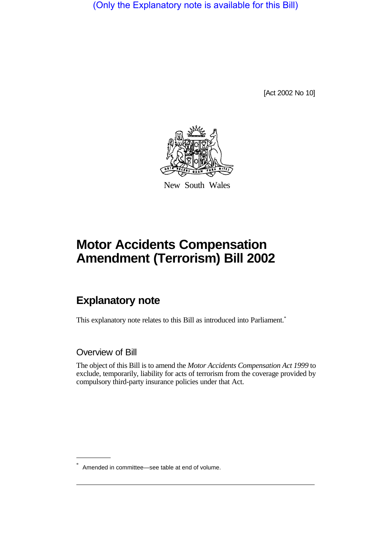(Only the Explanatory note is available for this Bill)

[Act 2002 No 10]



New South Wales

# **Motor Accidents Compensation Amendment (Terrorism) Bill 2002**

## **Explanatory note**

This explanatory note relates to this Bill as introduced into Parliament.<sup>\*</sup>

### Overview of Bill

The object of this Bill is to amend the *Motor Accidents Compensation Act 1999* to exclude, temporarily, liability for acts of terrorism from the coverage provided by compulsory third-party insurance policies under that Act.

Amended in committee—see table at end of volume.